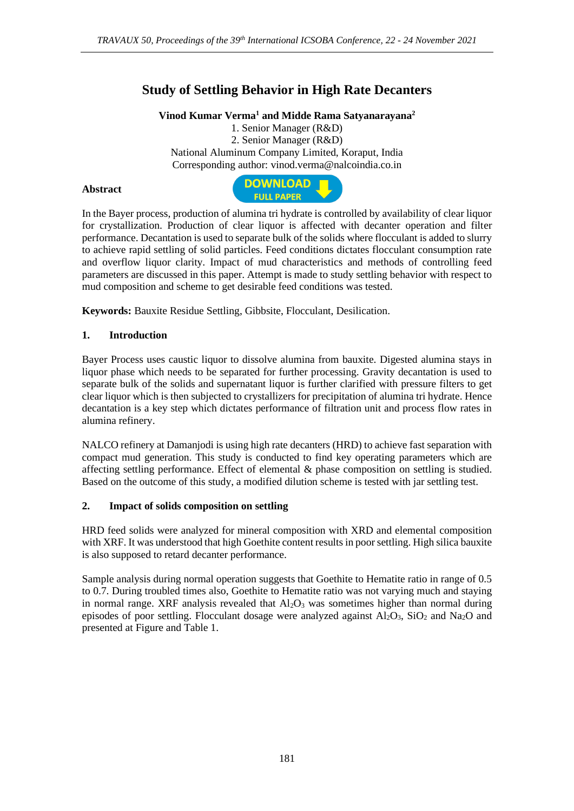# **Study of Settling Behavior in High Rate Decanters**

**Vinod Kumar Verma<sup>1</sup> and Midde Rama Satyanarayana<sup>2</sup>**

1. Senior Manager (R&D) 2. Senior Manager (R&D) National Aluminum Company Limited, Koraput, India Corresponding author: vinod.verma@nalcoindia.co.in

## **Abstract**



In the Bayer process, production of alumina tri hydrate is controlled by availability of clear liquor for crystallization. Production of clear liquor is affected with decanter operation and filter performance. Decantation is used to separate bulk of the solids where flocculant is added to slurry to achieve rapid settling of solid particles. Feed conditions dictates flocculant consumption rate and overflow liquor clarity. Impact of mud characteristics and methods of controlling feed parameters are discussed in this paper. Attempt is made to study settling behavior with respect to mud composition and scheme to get desirable feed conditions was tested.

**Keywords:** Bauxite Residue Settling, Gibbsite, Flocculant, Desilication.

# **1. Introduction**

Bayer Process uses caustic liquor to dissolve alumina from bauxite. Digested alumina stays in liquor phase which needs to be separated for further processing. Gravity decantation is used to separate bulk of the solids and supernatant liquor is further clarified with pressure filters to get clear liquor which is then subjected to crystallizers for precipitation of alumina tri hydrate. Hence decantation is a key step which dictates performance of filtration unit and process flow rates in alumina refinery.

NALCO refinery at Damanjodi is using high rate decanters (HRD) to achieve fast separation with compact mud generation. This study is conducted to find key operating parameters which are affecting settling performance. Effect of elemental & phase composition on settling is studied. Based on the outcome of this study, a modified dilution scheme is tested with jar settling test.

#### **2. Impact of solids composition on settling**

HRD feed solids were analyzed for mineral composition with XRD and elemental composition with XRF. It was understood that high Goethite content results in poor settling. High silica bauxite is also supposed to retard decanter performance.

Sample analysis during normal operation suggests that Goethite to Hematite ratio in range of 0.5 to 0.7. During troubled times also, Goethite to Hematite ratio was not varying much and staying in normal range. XRF analysis revealed that  $Al_2O_3$  was sometimes higher than normal during episodes of poor settling. Flocculant dosage were analyzed against  $Al_2O_3$ ,  $SiO_2$  and Na<sub>2</sub>O and presented at Figure and Table 1.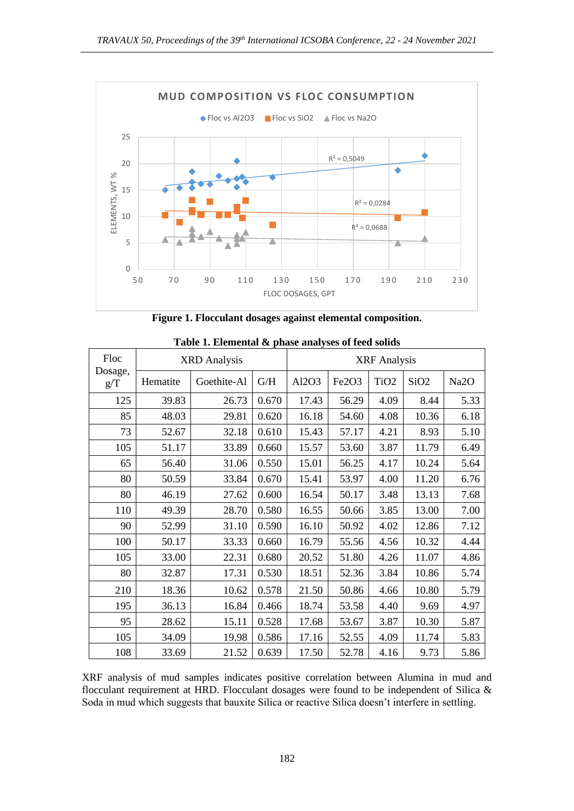

**Figure 1. Flocculant dosages against elemental composition.**

| Floc<br>Dosage,<br>g/T | <b>XRD</b> Analysis |             |       | <b>XRF</b> Analysis |       |                  |                  |                   |
|------------------------|---------------------|-------------|-------|---------------------|-------|------------------|------------------|-------------------|
|                        | Hematite            | Goethite-Al | G/H   | Al2O3               | Fe2O3 | TiO <sub>2</sub> | SiO <sub>2</sub> | Na <sub>2</sub> O |
| 125                    | 39.83               | 26.73       | 0.670 | 17.43               | 56.29 | 4.09             | 8.44             | 5.33              |
| 85                     | 48.03               | 29.81       | 0.620 | 16.18               | 54.60 | 4.08             | 10.36            | 6.18              |
| 73                     | 52.67               | 32.18       | 0.610 | 15.43               | 57.17 | 4.21             | 8.93             | 5.10              |
| 105                    | 51.17               | 33.89       | 0.660 | 15.57               | 53.60 | 3.87             | 11.79            | 6.49              |
| 65                     | 56.40               | 31.06       | 0.550 | 15.01               | 56.25 | 4.17             | 10.24            | 5.64              |
| 80                     | 50.59               | 33.84       | 0.670 | 15.41               | 53.97 | 4.00             | 11.20            | 6.76              |
| 80                     | 46.19               | 27.62       | 0.600 | 16.54               | 50.17 | 3.48             | 13.13            | 7.68              |
| 110                    | 49.39               | 28.70       | 0.580 | 16.55               | 50.66 | 3.85             | 13.00            | 7.00              |
| 90                     | 52.99               | 31.10       | 0.590 | 16.10               | 50.92 | 4.02             | 12.86            | 7.12              |
| 100                    | 50.17               | 33.33       | 0.660 | 16.79               | 55.56 | 4.56             | 10.32            | 4.44              |
| 105                    | 33.00               | 22.31       | 0.680 | 20.52               | 51.80 | 4.26             | 11.07            | 4.86              |
| 80                     | 32.87               | 17.31       | 0.530 | 18.51               | 52.36 | 3.84             | 10.86            | 5.74              |
| 210                    | 18.36               | 10.62       | 0.578 | 21.50               | 50.86 | 4.66             | 10.80            | 5.79              |
| 195                    | 36.13               | 16.84       | 0.466 | 18.74               | 53.58 | 4.40             | 9.69             | 4.97              |
| 95                     | 28.62               | 15.11       | 0.528 | 17.68               | 53.67 | 3.87             | 10.30            | 5.87              |
| 105                    | 34.09               | 19.98       | 0.586 | 17.16               | 52.55 | 4.09             | 11.74            | 5.83              |
| 108                    | 33.69               | 21.52       | 0.639 | 17.50               | 52.78 | 4.16             | 9.73             | 5.86              |

**Table 1. Elemental & phase analyses of feed solids**

XRF analysis of mud samples indicates positive correlation between Alumina in mud and flocculant requirement at HRD. Flocculant dosages were found to be independent of Silica & Soda in mud which suggests that bauxite Silica or reactive Silica doesn't interfere in settling.